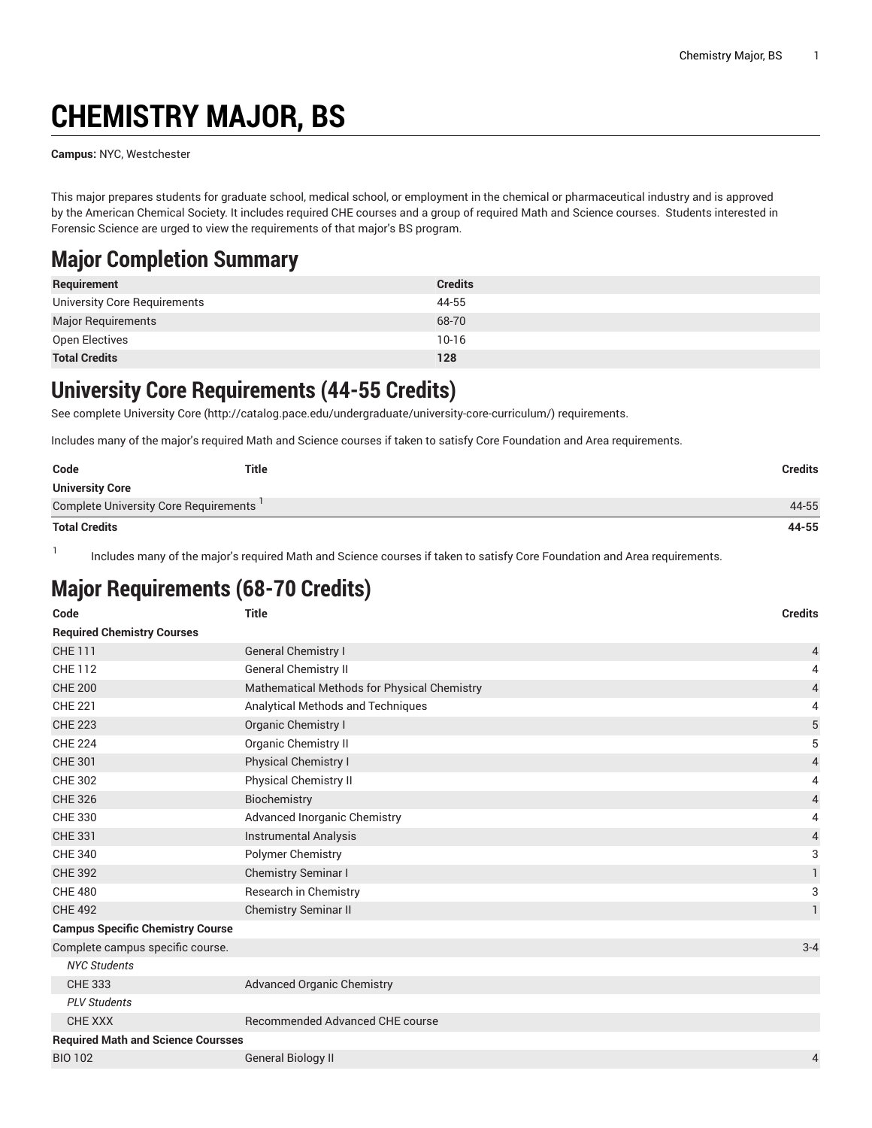# **CHEMISTRY MAJOR, BS**

**Campus:** NYC, Westchester

This major prepares students for graduate school, medical school, or employment in the chemical or pharmaceutical industry and is approved by the American Chemical Society. It includes required CHE courses and a group of required Math and Science courses. Students interested in Forensic Science are urged to view the requirements of that major's BS program.

#### **Major Completion Summary**

| Requirement                  | <b>Credits</b> |
|------------------------------|----------------|
| University Core Requirements | 44-55          |
| <b>Major Requirements</b>    | 68-70          |
| Open Electives               | $10-16$        |
| <b>Total Credits</b>         | 128            |

#### **University Core Requirements (44-55 Credits)**

See complete [University](http://catalog.pace.edu/undergraduate/university-core-curriculum/) Core (<http://catalog.pace.edu/undergraduate/university-core-curriculum/>) requirements.

Includes many of the major's required Math and Science courses if taken to satisfy Core Foundation and Area requirements.

| Code                                  | Title | Credits |
|---------------------------------------|-------|---------|
| <b>University Core</b>                |       |         |
| Complete University Core Requirements |       | 44-55   |
| <b>Total Credits</b>                  |       | 44-55   |

1 Includes many of the major's required Math and Science courses if taken to satisfy Core Foundation and Area requirements.

#### **Major Requirements (68-70 Credits)**

| Code                                      | <b>Title</b>                                | <b>Credits</b> |
|-------------------------------------------|---------------------------------------------|----------------|
| <b>Required Chemistry Courses</b>         |                                             |                |
| <b>CHE 111</b>                            | <b>General Chemistry I</b>                  | 4              |
| <b>CHE 112</b>                            | <b>General Chemistry II</b>                 | 4              |
| <b>CHE 200</b>                            | Mathematical Methods for Physical Chemistry | 4              |
| <b>CHE 221</b>                            | Analytical Methods and Techniques           | 4              |
| <b>CHE 223</b>                            | Organic Chemistry I                         | $\mathbf 5$    |
| <b>CHE 224</b>                            | <b>Organic Chemistry II</b>                 | 5              |
| <b>CHE 301</b>                            | <b>Physical Chemistry I</b>                 | $\overline{4}$ |
| <b>CHE 302</b>                            | <b>Physical Chemistry II</b>                | 4              |
| <b>CHE 326</b>                            | Biochemistry                                | 4              |
| <b>CHE 330</b>                            | Advanced Inorganic Chemistry                | 4              |
| <b>CHE 331</b>                            | <b>Instrumental Analysis</b>                | 4              |
| <b>CHE 340</b>                            | Polymer Chemistry                           | 3              |
| <b>CHE 392</b>                            | Chemistry Seminar I                         | $\mathbf{1}$   |
| <b>CHE 480</b>                            | Research in Chemistry                       | 3              |
| <b>CHE 492</b>                            | <b>Chemistry Seminar II</b>                 | $\mathbf{1}$   |
| <b>Campus Specific Chemistry Course</b>   |                                             |                |
| Complete campus specific course.          |                                             | $3 - 4$        |
| <b>NYC Students</b>                       |                                             |                |
| <b>CHE 333</b>                            | <b>Advanced Organic Chemistry</b>           |                |
| <b>PLV Students</b>                       |                                             |                |
| <b>CHE XXX</b>                            | Recommended Advanced CHE course             |                |
| <b>Required Math and Science Coursses</b> |                                             |                |
| <b>BIO 102</b>                            | <b>General Biology II</b>                   | 4              |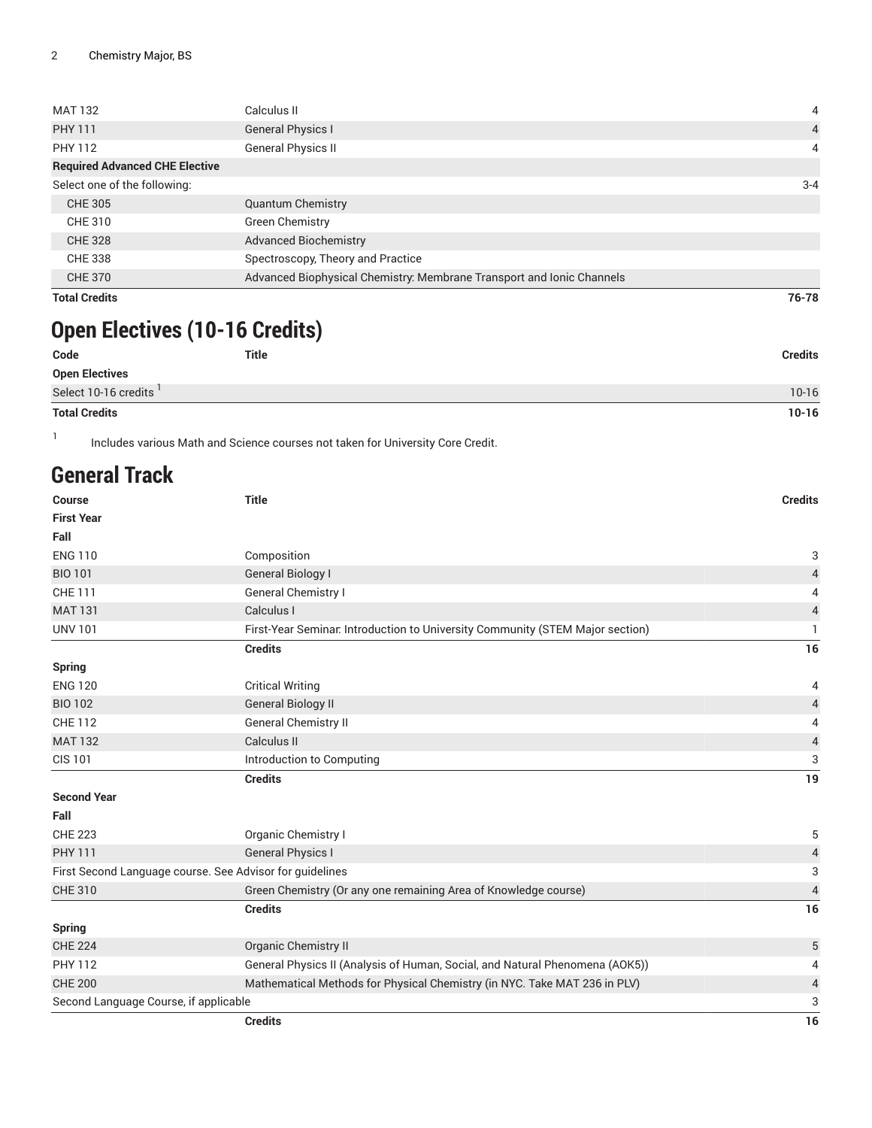| <b>MAT 132</b>                        | Calculus II                                                           | 4              |
|---------------------------------------|-----------------------------------------------------------------------|----------------|
| <b>PHY 111</b>                        | <b>General Physics I</b>                                              | $\overline{4}$ |
| PHY 112                               | <b>General Physics II</b>                                             | 4              |
| <b>Required Advanced CHE Elective</b> |                                                                       |                |
| Select one of the following:          |                                                                       | $3 - 4$        |
| CHE 305                               | <b>Quantum Chemistry</b>                                              |                |
| CHE 310                               | <b>Green Chemistry</b>                                                |                |
| <b>CHE 328</b>                        | <b>Advanced Biochemistry</b>                                          |                |
| CHE 338                               | Spectroscopy, Theory and Practice                                     |                |
| <b>CHE 370</b>                        | Advanced Biophysical Chemistry: Membrane Transport and Ionic Channels |                |
| <b>Total Credits</b>                  |                                                                       | 76-78          |

## **Open Electives (10-16 Credits)**

| Code                  | <b>Title</b> | <b>Credits</b> |
|-----------------------|--------------|----------------|
| <b>Open Electives</b> |              |                |
| Select 10-16 credits  |              | $10-16$        |
| <b>Total Credits</b>  |              | $10 - 16$      |

1 Includes various Math and Science courses not taken for University Core Credit.

### **General Track**

|                                       | <b>Credits</b>                                                                | 16                       |
|---------------------------------------|-------------------------------------------------------------------------------|--------------------------|
| Second Language Course, if applicable |                                                                               | 3                        |
| <b>CHE 200</b>                        | Mathematical Methods for Physical Chemistry (in NYC. Take MAT 236 in PLV)     | 4                        |
| <b>PHY 112</b>                        | General Physics II (Analysis of Human, Social, and Natural Phenomena (AOK5))  | $\overline{4}$           |
| <b>CHE 224</b>                        | Organic Chemistry II                                                          | 5                        |
| <b>Spring</b>                         |                                                                               |                          |
|                                       | <b>Credits</b>                                                                | 16                       |
| <b>CHE 310</b>                        | Green Chemistry (Or any one remaining Area of Knowledge course)               | $\overline{\mathcal{L}}$ |
|                                       | First Second Language course. See Advisor for guidelines                      | 3                        |
| <b>PHY 111</b>                        | <b>General Physics I</b>                                                      | $\overline{4}$           |
| <b>CHE 223</b>                        | Organic Chemistry I                                                           | 5                        |
| Fall                                  |                                                                               |                          |
| <b>Second Year</b>                    |                                                                               |                          |
|                                       | <b>Credits</b>                                                                | 19                       |
| <b>CIS 101</b>                        | Introduction to Computing                                                     | 3                        |
| <b>MAT 132</b>                        | Calculus II                                                                   | 4                        |
| <b>CHE 112</b>                        | <b>General Chemistry II</b>                                                   | 4                        |
| <b>BIO 102</b>                        | <b>General Biology II</b>                                                     | 4                        |
| <b>ENG 120</b>                        | <b>Critical Writing</b>                                                       | 4                        |
| <b>Spring</b>                         |                                                                               |                          |
|                                       | <b>Credits</b>                                                                | 16                       |
| <b>UNV 101</b>                        | First-Year Seminar. Introduction to University Community (STEM Major section) | 1                        |
| <b>MAT 131</b>                        | Calculus I                                                                    | $\overline{\mathcal{A}}$ |
| <b>CHE 111</b>                        | General Chemistry I                                                           | 4                        |
| <b>BIO 101</b>                        | <b>General Biology I</b>                                                      | $\overline{4}$           |
| <b>ENG 110</b>                        | Composition                                                                   | 3                        |
| Fall                                  |                                                                               |                          |
| <b>Course</b><br><b>First Year</b>    | <b>Title</b>                                                                  | <b>Credits</b>           |
|                                       |                                                                               |                          |